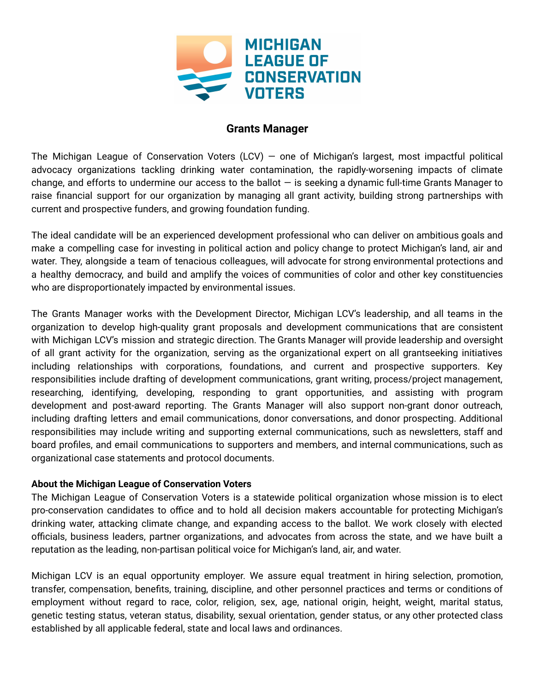

# **Grants Manager**

The Michigan League of Conservation Voters (LCV) – one of Michigan's largest, most impactful political advocacy organizations tackling drinking water contamination, the rapidly-worsening impacts of climate change, and efforts to undermine our access to the ballot  $-$  is seeking a dynamic full-time Grants Manager to raise financial support for our organization by managing all grant activity, building strong partnerships with current and prospective funders, and growing foundation funding.

The ideal candidate will be an experienced development professional who can deliver on ambitious goals and make a compelling case for investing in political action and policy change to protect Michigan's land, air and water. They, alongside a team of tenacious colleagues, will advocate for strong environmental protections and a healthy democracy, and build and amplify the voices of communities of color and other key constituencies who are disproportionately impacted by environmental issues.

The Grants Manager works with the Development Director, Michigan LCV's leadership, and all teams in the organization to develop high-quality grant proposals and development communications that are consistent with Michigan LCV's mission and strategic direction. The Grants Manager will provide leadership and oversight of all grant activity for the organization, serving as the organizational expert on all grantseeking initiatives including relationships with corporations, foundations, and current and prospective supporters. Key responsibilities include drafting of development communications, grant writing, process/project management, researching, identifying, developing, responding to grant opportunities, and assisting with program development and post-award reporting. The Grants Manager will also support non-grant donor outreach, including drafting letters and email communications, donor conversations, and donor prospecting. Additional responsibilities may include writing and supporting external communications, such as newsletters, staff and board profiles, and email communications to supporters and members, and internal communications, such as organizational case statements and protocol documents.

### **About the Michigan League of Conservation Voters**

The Michigan League of Conservation Voters is a statewide political organization whose mission is to elect pro-conservation candidates to office and to hold all decision makers accountable for protecting Michigan's drinking water, attacking climate change, and expanding access to the ballot. We work closely with elected officials, business leaders, partner organizations, and advocates from across the state, and we have built a reputation as the leading, non-partisan political voice for Michigan's land, air, and water.

Michigan LCV is an equal opportunity employer. We assure equal treatment in hiring selection, promotion, transfer, compensation, benefits, training, discipline, and other personnel practices and terms or conditions of employment without regard to race, color, religion, sex, age, national origin, height, weight, marital status, genetic testing status, veteran status, disability, sexual orientation, gender status, or any other protected class established by all applicable federal, state and local laws and ordinances.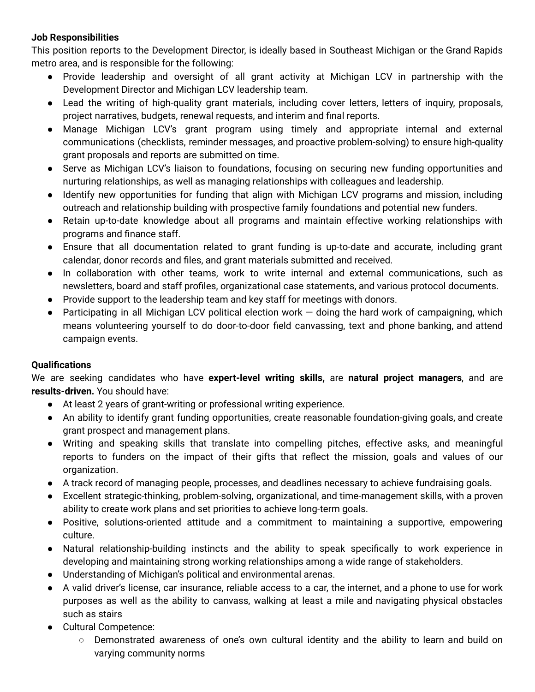## **Job Responsibilities**

This position reports to the Development Director, is ideally based in Southeast Michigan or the Grand Rapids metro area, and is responsible for the following:

- Provide leadership and oversight of all grant activity at Michigan LCV in partnership with the Development Director and Michigan LCV leadership team.
- Lead the writing of high-quality grant materials, including cover letters, letters of inquiry, proposals, project narratives, budgets, renewal requests, and interim and final reports.
- Manage Michigan LCV's grant program using timely and appropriate internal and external communications (checklists, reminder messages, and proactive problem-solving) to ensure high-quality grant proposals and reports are submitted on time.
- Serve as Michigan LCV's liaison to foundations, focusing on securing new funding opportunities and nurturing relationships, as well as managing relationships with colleagues and leadership.
- Identify new opportunities for funding that align with Michigan LCV programs and mission, including outreach and relationship building with prospective family foundations and potential new funders.
- Retain up-to-date knowledge about all programs and maintain effective working relationships with programs and finance staff.
- Ensure that all documentation related to grant funding is up-to-date and accurate, including grant calendar, donor records and files, and grant materials submitted and received.
- In collaboration with other teams, work to write internal and external communications, such as newsletters, board and staff profiles, organizational case statements, and various protocol documents.
- Provide support to the leadership team and key staff for meetings with donors.
- Participating in all Michigan LCV political election work doing the hard work of campaigning, which means volunteering yourself to do door-to-door field canvassing, text and phone banking, and attend campaign events.

## **Qualifications**

We are seeking candidates who have **expert-level writing skills,** are **natural project managers**, and are **results-driven.** You should have:

- At least 2 years of grant-writing or professional writing experience.
- An ability to identify grant funding opportunities, create reasonable foundation-giving goals, and create grant prospect and management plans.
- Writing and speaking skills that translate into compelling pitches, effective asks, and meaningful reports to funders on the impact of their gifts that reflect the mission, goals and values of our organization.
- A track record of managing people, processes, and deadlines necessary to achieve fundraising goals.
- Excellent strategic-thinking, problem-solving, organizational, and time-management skills, with a proven ability to create work plans and set priorities to achieve long-term goals.
- Positive, solutions-oriented attitude and a commitment to maintaining a supportive, empowering culture.
- Natural relationship-building instincts and the ability to speak specifically to work experience in developing and maintaining strong working relationships among a wide range of stakeholders.
- Understanding of Michigan's political and environmental arenas.
- A valid driver's license, car insurance, reliable access to a car, the internet, and a phone to use for work purposes as well as the ability to canvass, walking at least a mile and navigating physical obstacles such as stairs
- Cultural Competence:
	- Demonstrated awareness of one's own cultural identity and the ability to learn and build on varying community norms